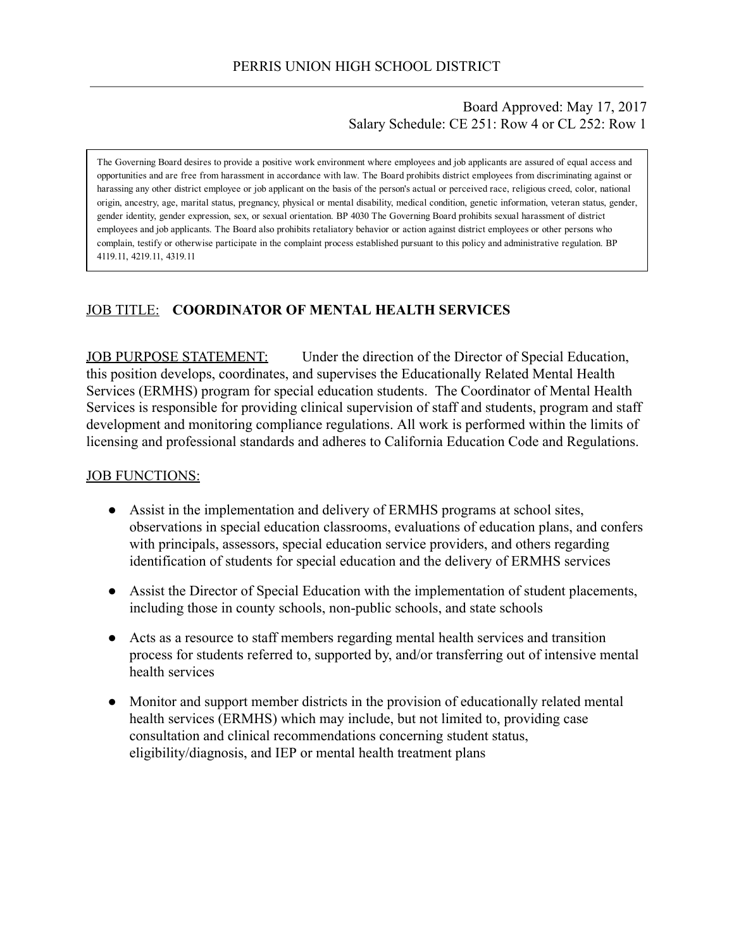### Board Approved: May 17, 2017 Salary Schedule: CE 251: Row 4 or CL 252: Row 1

The Governing Board desires to provide a positive work environment where employees and job applicants are assured of equal access and opportunities and are free from harassment in accordance with law. The Board prohibits district employees from discriminating against or harassing any other district employee or job applicant on the basis of the person's actual or perceived race, religious creed, color, national origin, ancestry, age, marital status, pregnancy, physical or mental disability, medical condition, genetic information, veteran status, gender, gender identity, gender expression, sex, or sexual orientation. BP 4030 The Governing Board prohibits sexual harassment of district employees and job applicants. The Board also prohibits retaliatory behavior or action against district employees or other persons who complain, testify or otherwise participate in the complaint process established pursuant to this policy and administrative regulation. BP 4119.11, 4219.11, 4319.11

# JOB TITLE: COORDINATOR OF MENTAL HEALTH SERVICES

JOB PURPOSE STATEMENT: Under the direction of the Director of Special Education, this position develops, coordinates, and supervises the Educationally Related Mental Health Services (ERMHS) program for special education students. The Coordinator of Mental Health Services is responsible for providing clinical supervision of staff and students, program and staff development and monitoring compliance regulations. All work is performed within the limits of licensing and professional standards and adheres to California Education Code and Regulations.

#### JOB FUNCTIONS:

- Assist in the implementation and delivery of ERMHS programs at school sites, observations in special education classrooms, evaluations of education plans, and confers with principals, assessors, special education service providers, and others regarding identification of students for special education and the delivery of ERMHS services
- Assist the Director of Special Education with the implementation of student placements, including those in county schools, non-public schools, and state schools
- Acts as a resource to staff members regarding mental health services and transition process for students referred to, supported by, and/or transferring out of intensive mental health services
- Monitor and support member districts in the provision of educationally related mental health services (ERMHS) which may include, but not limited to, providing case consultation and clinical recommendations concerning student status, eligibility/diagnosis, and IEP or mental health treatment plans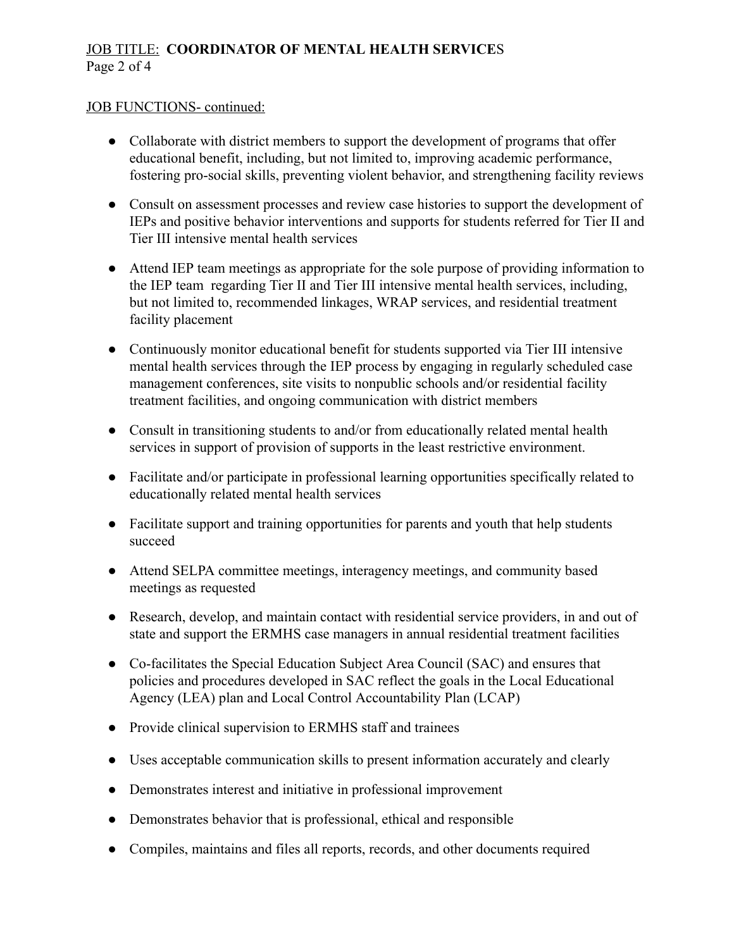# JOB TITLE: COORDINATOR OF MENTAL HEALTH SERVICES Page 2 of 4

#### JOB FUNCTIONS- continued:

- Collaborate with district members to support the development of programs that offer educational benefit, including, but not limited to, improving academic performance, fostering pro-social skills, preventing violent behavior, and strengthening facility reviews
- Consult on assessment processes and review case histories to support the development of IEPs and positive behavior interventions and supports for students referred for Tier II and Tier III intensive mental health services
- Attend IEP team meetings as appropriate for the sole purpose of providing information to the IEP team regarding Tier II and Tier III intensive mental health services, including, but not limited to, recommended linkages, WRAP services, and residential treatment facility placement
- Continuously monitor educational benefit for students supported via Tier III intensive mental health services through the IEP process by engaging in regularly scheduled case management conferences, site visits to nonpublic schools and/or residential facility treatment facilities, and ongoing communication with district members
- Consult in transitioning students to and/or from educationally related mental health services in support of provision of supports in the least restrictive environment.
- Facilitate and/or participate in professional learning opportunities specifically related to educationally related mental health services
- Facilitate support and training opportunities for parents and youth that help students succeed
- Attend SELPA committee meetings, interagency meetings, and community based meetings as requested
- Research, develop, and maintain contact with residential service providers, in and out of state and support the ERMHS case managers in annual residential treatment facilities
- Co-facilitates the Special Education Subject Area Council (SAC) and ensures that policies and procedures developed in SAC reflect the goals in the Local Educational Agency (LEA) plan and Local Control Accountability Plan (LCAP)
- Provide clinical supervision to ERMHS staff and trainees
- Uses acceptable communication skills to present information accurately and clearly
- Demonstrates interest and initiative in professional improvement
- Demonstrates behavior that is professional, ethical and responsible
- Compiles, maintains and files all reports, records, and other documents required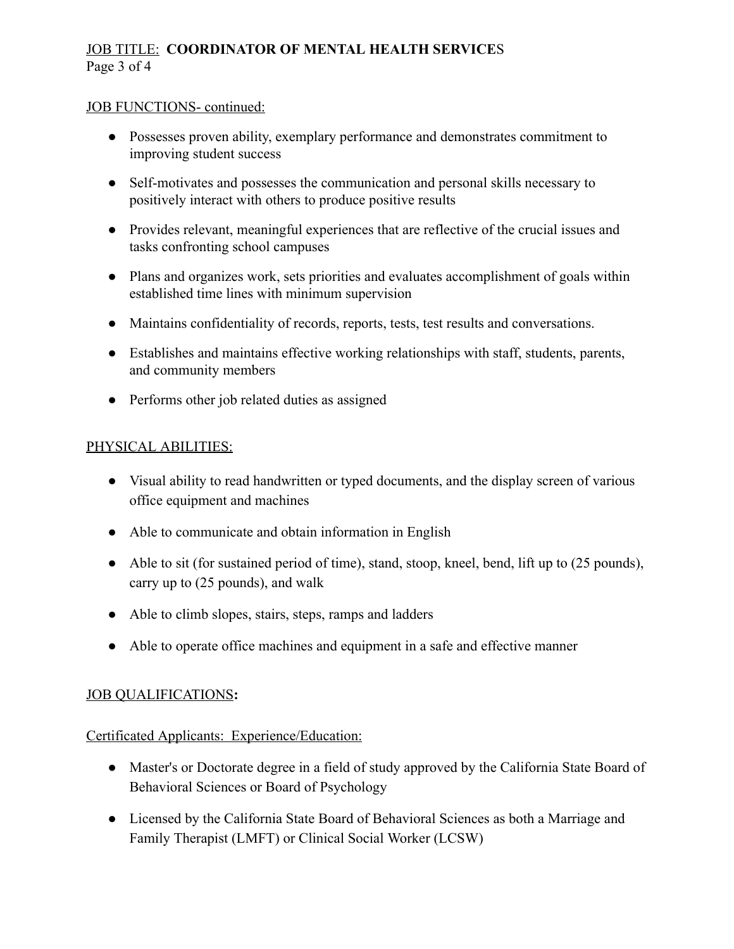# JOB TITLE: COORDINATOR OF MENTAL HEALTH SERVICES Page 3 of 4

#### JOB FUNCTIONS- continued:

- Possesses proven ability, exemplary performance and demonstrates commitment to improving student success
- Self-motivates and possesses the communication and personal skills necessary to positively interact with others to produce positive results
- Provides relevant, meaningful experiences that are reflective of the crucial issues and tasks confronting school campuses
- Plans and organizes work, sets priorities and evaluates accomplishment of goals within established time lines with minimum supervision
- Maintains confidentiality of records, reports, tests, test results and conversations.
- Establishes and maintains effective working relationships with staff, students, parents, and community members
- Performs other job related duties as assigned

## PHYSICAL ABILITIES:

- Visual ability to read handwritten or typed documents, and the display screen of various office equipment and machines
- Able to communicate and obtain information in English
- Able to sit (for sustained period of time), stand, stoop, kneel, bend, lift up to (25 pounds), carry up to (25 pounds), and walk
- Able to climb slopes, stairs, steps, ramps and ladders
- Able to operate office machines and equipment in a safe and effective manner

### JOB QUALIFICATIONS:

### Certificated Applicants: Experience/Education:

- Master's or Doctorate degree in a field of study approved by the California State Board of Behavioral Sciences or Board of Psychology
- Licensed by the California State Board of Behavioral Sciences as both a Marriage and Family Therapist (LMFT) or Clinical Social Worker (LCSW)